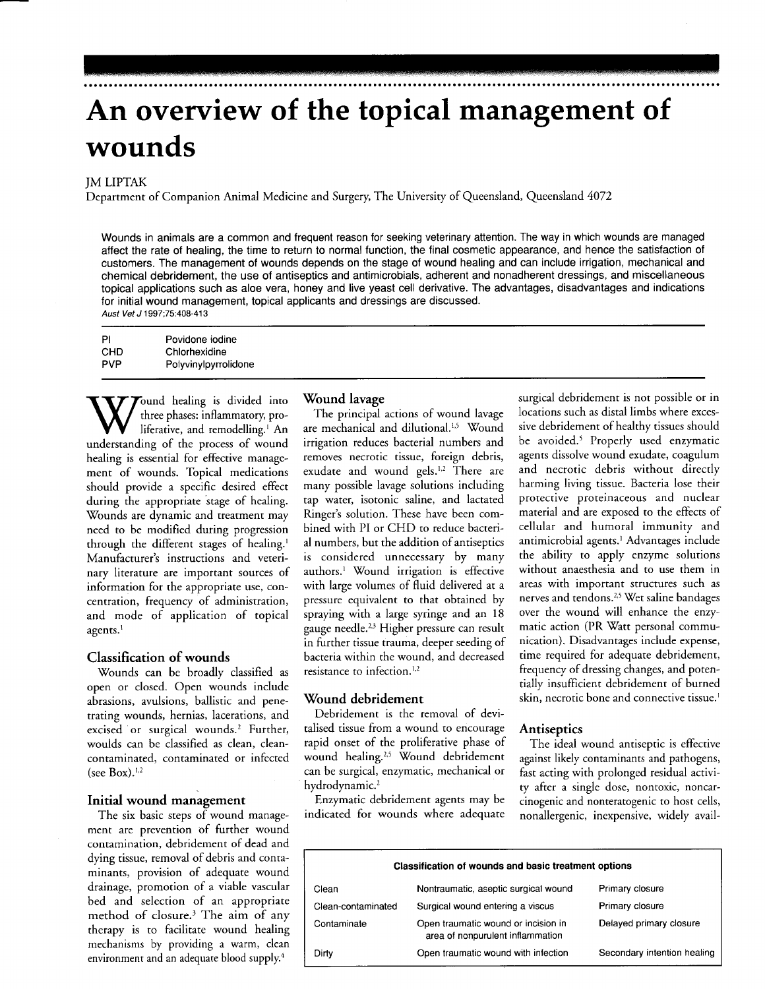# An overview of the topical management of wounds

#### JM LIPTAK

Department of Companion Animal Medicine and Surgery The University of Queensland, Queensland 4072

Wounds in animals are a common and frequent reason for seeking veterinary attention. The way in which wounds are managed affect the rate of healing, the time to return to normal function, the final cosmetic appearance, and hence the satisfaction of customers. The management of wounds depends on the stage of wound healing and can include irrigation, mechanical and chemical debridement, the use of antiseptics and antimicrobials, adherent and nonadherent dressings, and miscellaneous topical applications such as aloe vera, honey and live yeast cell derivative. The advantages, disadvantages and indications for initial wound management, topical applicants and dressings are discussed. Aust Vet J 1997;75:408-413

PI CHD PVP Povidone iodine Chlorhexidine Polyvinylpyrrolidone

Tound healing is divided into three phases: inflammatory, proliferative, and remodelling.<sup>1</sup> An understanding of the process of wound healing is essential for effective management of wounds. Topical medications should provide a specific desired effect during the appropriate stage of healing. 'Wounds are dynamic and treatment may need to be modified during progression through the different stages of healing.<sup>1</sup> Manufacturer's instructions and veterinary literature are important sources of information for the appropriate use, concentration, frequency of administration, and mode of application of topical agents.'

#### Classification of wounds

Wounds can be broadly classified as open or closed. Open wounds include abrasions, avulsions, ballistic and penetrating wounds, hernias, lacerations, and excised or surgical wounds.2 Further, woulds can be classified as clean, cleancontaminated, contaminated or infected (see Box). $1,2$ 

#### Initial wound management

The six basic steps of wound management are prevention of further wound contamination, debridement of dead and dying tissue, removal of debris and contaminants, provision of adequate wound drainage, promotion of a viable vascular bed and selection of an appropriate method of closure.<sup>3</sup> The aim of any therapy is to facilitate wound healing mechanisms by providing a warm, clean environment and an adequate blood supply.<sup>4</sup>

#### Wound lavage

The principal actions of wound lavage are mechanical and dilutional.<sup>1,5</sup> Wound irrigation reduces bacterial numbers and removes necrotic tissue, foreign debris, exudate and wound gels.<sup>1,2</sup> There are many possible lavage solutions including tap water, isotonic saline, and lactated Ringer's solution. These have been combined with PI or CHD to reduce bacterial numbers, but the addition of antiseptics is considered unnecessary by many authors.<sup>1</sup> Wound irrigation is effective with large volumes of fluid delivered at a pressure equivalent to that obtained by spraying with a large syringe and an l8 gauge needle.<sup>2,3</sup> Higher pressure can result in further tissue trauma, deeper seeding of bacteria within the wound, and decreased resistance to infection. $1,2$ 

#### Wound debridement

Debridement is the removal of devitalised tissue from a wound to encourage rapid onset of the proliferative phase of wound healing.<sup>2,5</sup> Wound debridement can be surgical, enzymatic, mechanical or hydrodynamic.<sup>2</sup>

Enzymatic debridement agents may be indicated for wounds where adequate surgical debridement is not possible or in locations such as distal limbs where excessive debridement of healthy tissues should be avoided.<sup>5</sup> Properly used enzymatic agents dissolve wound exudate, coagulum and necrotic debris without directly harming living tissue. Bacteria lose their protective proteinaceous and nuclear material and are exposed to the effects of cellular and humoral immunity and antimicrobial agents.<sup>1</sup> Advantages include the abiliry to apply enzyme solutions without anaesthesia and to use them in areas with important structures such as nerves and tendons.<sup>2,5</sup> Wet saline bandages over the wound will enhance the enzymatic action (PR Watt personal communication). Disadvantages include expense, time required for adequate debridement, frequency of dressing changes, and potentially insufficient debridement of burned skin, necrotic bone and connective tissue.<sup>1</sup>

#### Antiseptics

The ideal wound antiseptic is effective against likely contaminants and pathogens, fast acting with prolonged residual activity after a single dose, nontoxic, noncarcinogenic and nonteratogenic to host cells, nonallergenic, inexpensive, widely avail-

| <b>Classification of wounds and basic treatment options</b> |                                                                         |                             |  |  |
|-------------------------------------------------------------|-------------------------------------------------------------------------|-----------------------------|--|--|
| Clean                                                       | Nontraumatic, aseptic surgical wound                                    | Primary closure             |  |  |
| Clean-contaminated                                          | Surgical wound entering a viscus                                        | Primary closure             |  |  |
| Contaminate                                                 | Open traumatic wound or incision in<br>area of nonpurulent inflammation | Delayed primary closure     |  |  |
| Dirty                                                       | Open traumatic wound with infection                                     | Secondary intention healing |  |  |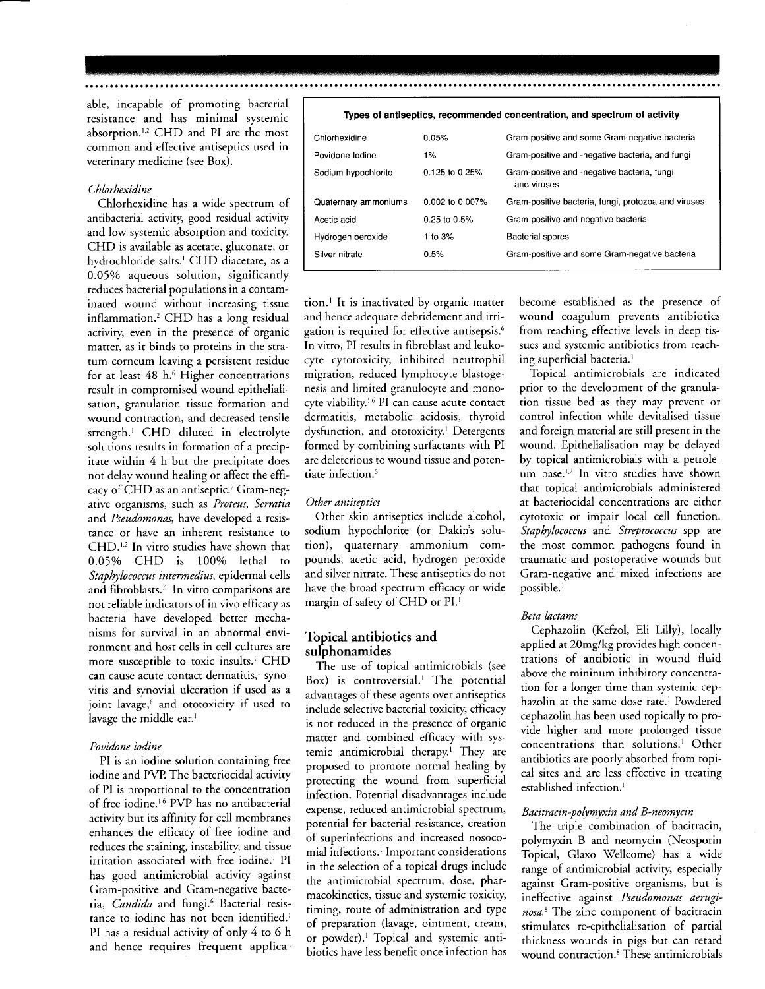able, incapable of promoting bacterial resistance and has minimal systemic absorption.<sup>1,2</sup> CHD and PI are the most common and effective antiseptics used in veterinary medicine (see Box).

#### Chlorhexidine

Chlorhexidine has a wide spectrum of antibacterial activity, good residual activiry and low systemic absorption and toxiciry. CHD is available as acetate, gluconate, or hydrochloride salts.<sup>1</sup> CHD diacetate, as a 0.05% aqueous solution, significantly reduces bacterial populations in a contaminated wound without increasing tissue inflammation.' CHD has a long residual activity, even in the presence of organic matter, as it binds to proteins in the stratum corneum leaving a persistent residue for at least 48 h.<sup>6</sup> Higher concentrations result in compromised wound epithelialisation, granulation tissue formation and wound contraction, and decreased tensile strength.<sup>1</sup> CHD diluted in electrolyte solutions results in formation of a precipitate within 4 h but the precipitate does not delay wound healing or affect the efficacy of CHD as an antiseptic.<sup>7</sup> Gram-negative organisms, such as Proteus, Serratia and Pseudomonas, have developed a resistance or have an inherent resistance to CHD.<sup>1,2</sup> In vitro studies have shown that 0.05% CHD is 100% lethal to Staphylococcus intermedius, epidermal cells and fibroblasts.<sup>7</sup> In vitro comparisons are not reliable indicators of in vivo efficacy as bacteria have developed better mechanisms for survival in an abnormal environment and host cells in cell cultures are more susceptible to toxic insults.<sup>1</sup> CHD can cause acute contact dermatitis,<sup>1</sup> synovitis and synovial ulceration if used as a joint lavage,<sup>6</sup> and ototoxicity if used to lavage the middle ear.<sup>1</sup>

#### Pouidone iodine

PI is an iodine solution containing free iodine and PVP. The bacteriocidal activity of PI is proportional to the concentration of free iodine.<sup>1.6</sup> PVP has no antibacterial activiry but its affiniry for cell membranes enhances the efficacy of free iodine and reduces the staining, instability, and tissue irritation associated with free iodine.<sup>1</sup> PI has good antimicrobial activity against Gram-positive and Gram-negative bacteria, Candida and fungi.<sup>6</sup> Bacterial resistance to jodine has not been identified.<sup>1</sup> PI has a residual activity of only 4 to 6 h and hence requires frequent applicaTypes of antiseptics, recommended concentration, and spectrum of activity

| Chlorhexidine        | 0.05%              | Gram-positive and some Gram-negative bacteria              |
|----------------------|--------------------|------------------------------------------------------------|
| Povidone lodine      | $1\%$              | Gram-positive and -negative bacteria, and fungi            |
| Sodium hypochlorite  | $0.125$ to $0.25%$ | Gram-positive and -negative bacteria, fungi<br>and viruses |
| Quaternary ammoniums | 0.002 to 0.007%    | Gram-positive bacteria, fungi, protozoa and viruses        |
| Acetic acid          | 0.25 to 0.5%       | Gram-positive and negative bacteria                        |
| Hydrogen peroxide    | 1 to $3\%$         | <b>Bacterial spores</b>                                    |
| Silver nitrate       | 0.5%               | Gram-positive and some Gram-negative bacteria              |
|                      |                    |                                                            |

tion.<sup>1</sup> It is inactivated by organic matter and hence adequate debridement and irrigation is required for effective antisepsis.<sup>6</sup> In vitro, PI results in fibroblast and leukocyte cytotoxicity, inhibited neutrophil migration, reduced lymphocyte blastogenesis and limited granulocyte and monocyte viability.<sup>1,6</sup> PI can cause acute contact dermatitis, metabolic acidosis, thyroid dysfunction, and ototoxicity.<sup>1</sup> Detergents formed by combining surfactants with PI are deleterious to wound tissue and potentiate infection.<sup>6</sup>

#### Other antiseptics

Other skin antiseptics include alcohol, sodium hypochlorite (or Dakin's solution). quaternary ammonium compounds, acetic acid, hydrogen peroxide and silver nitrate. These antiseptics do not have the broad spectrum efficacy or wide margin of safety of CHD or PI.<sup>1</sup>

#### Topical antibiotics and sulphonamides

The use of topical antimicrobials (see Box) is controversial.<sup>1</sup> The potential advantages of these agents over antiseptics include selective bacterial toxicity, efficacy is not reduced in the presence of organic matter and combined efficacy with systemic antimicrobial therapy.<sup>1</sup> They are proposed to promote normal healing by protecting the wound from superficial infection. Potential disadvantages include expense, reduced antimicrobial spectrum, potential for bacterial resistance, creation of superinfections and increased nosocomial infections.<sup>1</sup> Important considerations in the selection of a topical drugs include the antimicrobial spectrum, dose, pharmacokinetics, tissue and systemic toxiciry timing, route of administration and rype of preparation (lavage, ointment, cream, or powder).' Topical and systemic antibiotics have less benefit once infection has become established as the presence of wound coagulum prevents antibiotics from reaching effective levels in deep tissues and systemic antibiotics from reaching superficial bacteria.<sup>1</sup>

Topical antimicrobials are indicated prior to the development of the granulation tissue bed as they may prevent or control infection while devitalised tissue and foreign material are still present in the wound. Epithelialisation may be delayed by topical antimicrobials with a petroleum base.<sup>1,2</sup> In vitro studies have shown that topical antimicrobials administered at bacteriocidal concentrations are either cytotoxic or impair local cell function. Staphylococcus and Streptococcus spp are the most common pathogens found in traumatic and postoperative wounds but Gram-negative and mixed infections are possible.<sup>1</sup>

#### Beta lactams

Cephazolin (Kefzol, Eli Lilly), locally applied at 20mg/kg provides high concentrations of antibiotic in wound fluid above the mininum inhibitory concentration for a longer time than systemic cephazolin at the same dose rate.<sup>1</sup> Powdered cephazolin has been used topically to provide higher and more prolonged tissue concentrations than solutions.<sup>1</sup> Other antibiotics are poorly absorbed from topical sites and are less effective in treating established infection.<sup>1</sup>

#### Bacitracin-polymyxin and B-neomycin

The triple combination of bacitracin, polymyxin B and neomycin (Neosporin Topical, Glaxo Wellcome) has a wide range of antimicrobial activity, especially against Gram-positive organisms, but is ineffective against Pseudomonas aeruginosa.<sup>8</sup> The zinc component of bacitracin stimulates re-epithelialisation of partial thickness wounds in pigs but can retard wound contraction.8 These antimicrobials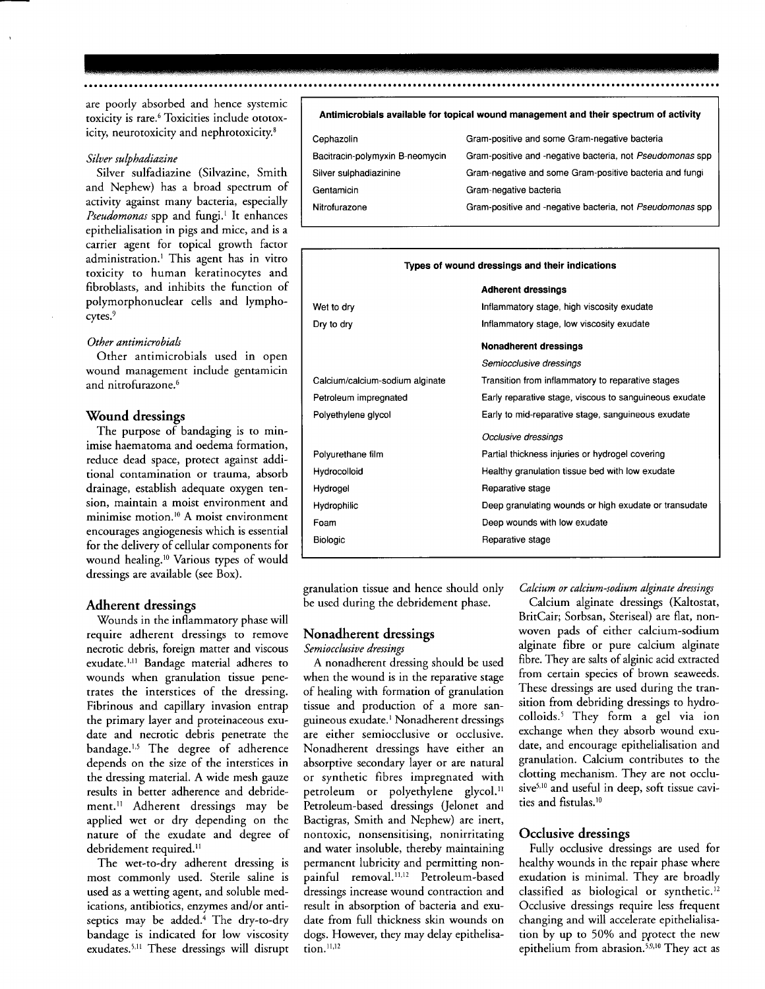are poorly absorbed and hence systemic toxicity is rare.<sup>6</sup> Toxicities include ototoxicity, neurotoxicity and nephrotoxicity.<sup>8</sup>

#### Siluer sulphadiazine

Silver sulfadiazine (Silvazine, Smith and Nephew) has a broad spectrum of activity against many bacteria, especially Pseudomonas spp and fungi.<sup>1</sup> It enhances epithelialisation in pigs and mice, and is a carrier agent for topical growth factor administration.<sup>1</sup> This agent has in vitro toxicity to human keratinocytes and fibroblasts, and inhibits the function of polymorphonuclear cells and lymphocytes.<sup>9</sup>

#### Other antimicrobials

Other antimicrobials used in open wound management include gentamicin and nitrofurazone.<sup>6</sup>

#### 'Wound dressings

The purpose of bandaging is to minimise haematoma and oedema formation, reduce dead space, protect against additional contamination or trauma, absorb drainage, establish adequate oxygen tension, maintain a moist environment and minimise motion.<sup>10</sup> A moist environment encourages angiogenesis which is essential for the delivery of cellular components for wound healing.<sup>10</sup> Various types of would dressings are available (see Box).

Adherent dressings<br>Wounds in the inflammatory phase will require adherent dressings to remove necrotic debris, foreign matter and viscous exudate.<sup>1,11</sup> Bandage material adheres to wounds when granulation tissue penetrates the interstices of the dressing. Fibrinous and capillary invasion entrap the primary layer and proteinaceous exudate and necrotic debris penetrate the bandage.<sup>1,5</sup> The degree of adherence depends on the size of the interstices in the dressing material. A wide mesh gauze results in better adherence and debridement.<sup>11</sup> Adherent dressings may be applied wet or dry depending on the nature of the exudate and degree of debridement required.<sup>11</sup>

The wet-to-dry adherent dressing is most commonly used. Sterile sdine is used as a wetting agent, and soluble medications, antibiotics, enzymes and/or antiseptics may be added.<sup>4</sup> The dry-to-dry bandage is indicated for low viscosiry exudates.<sup>5,11</sup> These dressings will disrupt

#### Antimicrobials available for topical wound management and their spectrum of activity

| Cephazolin                      | Gram-positive and some Gram-negative bacteria             |
|---------------------------------|-----------------------------------------------------------|
| Bacitracin-polymyxin B-neomycin | Gram-positive and -negative bacteria, not Pseudomonas spp |
| Silver sulphadiazinine          | Gram-negative and some Gram-positive bacteria and fungi   |
| Gentamicin                      | Gram-negative bacteria                                    |
| Nitrofurazone                   | Gram-positive and -negative bacteria, not Pseudomonas spp |

#### Types of wound dressings and their indications

|                                 | <b>Adherent dressings</b>                              |
|---------------------------------|--------------------------------------------------------|
| Wet to dry                      | Inflammatory stage, high viscosity exudate             |
| Dry to dry                      | Inflammatory stage, low viscosity exudate              |
|                                 | <b>Nonadherent dressings</b>                           |
|                                 | Semiocclusive dressings                                |
| Calcium/calcium-sodium alginate | Transition from inflammatory to reparative stages      |
| Petroleum impregnated           | Early reparative stage, viscous to sanguineous exudate |
| Polyethylene glycol             | Early to mid-reparative stage, sanguineous exudate     |
|                                 | Occlusive dressings                                    |
| Polyurethane film               | Partial thickness injuries or hydrogel covering        |
| Hydrocolloid                    | Healthy granulation tissue bed with low exudate        |
| Hydrogel                        | Reparative stage                                       |
| Hydrophilic                     | Deep granulating wounds or high exudate or transudate  |
| Foam                            | Deep wounds with low exudate                           |
| <b>Biologic</b>                 | Reparative stage                                       |

granulation tissue and hence should only be used during the debridement phase.

#### Nonadherent dressings

Semiocclusive dressings

A nonadherent dressing should be used when the wound is in the reparative stage of heding with formation of granulation tissue and production of a more sanguineous exudate.<sup>1</sup> Nonadherent dressings are either semiocclusive or occlusive. Nonadherent dressings have either an absorptive secondary layer or are natural or synthetic fibres impregnated with petroleum or polyethylene glycol." Petroleum-based dressings (Jelonet and Bactigras, Smith and Nephew) are inert, nontoxic, nonsensitising, nonirritating and water insoluble, thereby maintaining permanent lubricity and permitting nonpainful removal.<sup>11,12</sup> Petroleum-based dressings increase wound contraction and result in absorption of bacteria and exudate from full thickness skin wounds on dogs. However, they may delay epithelisa- $\overline{\text{tion}}$ .<sup>11,12</sup>

Calcium or calcium-sodium alginate dressings

Calcium alginate dressings (Kaltostat, BritCair; Sorbsan, Steriseal) are flat, nonwoven pads of either calcium-sodium alginate fibre or pure calcium alginate fibre. They are salts of alginic acid extracted from certain species of brown seaweeds. These dressings are used during the transition from debriding dressings to hydrocolloids.<sup>5</sup> They form a gel via ion exchange when they absorb wound exudate, and encourage epithelialisation and granulation. Calcium contributes to the clotting mechanism. They are not occlusive<sup>5,10</sup> and useful in deep, soft tissue cavities and fistulas.<sup>10</sup>

#### Occlusive dressings

Fully occlusive dressings are used for healthy wounds in the repair phase where exudation is minimal. They are broadly classified as biological or synthetic.<sup>12</sup> Occlusive dressings require less frequent changing and will accelerate epithelialisation by up to 50% and protect the new epithelium from abrasion.<sup>5,9,10</sup> They act as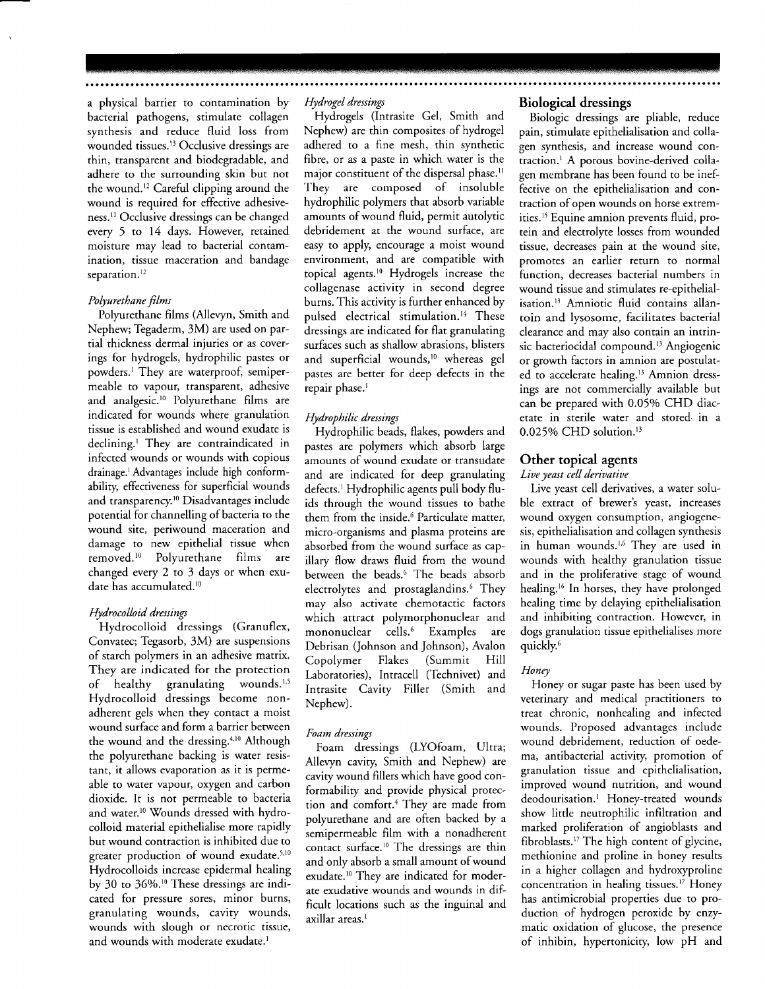a physical barrier to contamination by bacterial pathogens, stimulate collagen synthesis and reduce fluid loss from wounded tissues.<sup>13</sup> Occlusive dressings are thin, transparent and biodegradable, and adhere to the surrounding skin but not the wound.<sup>12</sup> Careful clipping around the wound is required for effective adhesiveness.<sup>11</sup> Occlusive dressings can be changed every 5 to 14 days. However, retained moisture may lead to bacterial contamination, tissue maceration and bandage separation.<sup>12</sup>

#### Polyurethane films

Polyurethane films (Allevyn, Smith and Nephew; Tegaderm, 3M) are used on parrial thickness dermal injuries or as coverings for hydrogels, hydrophilic pastes or powders.' They are waterproof, semipermeable to vapour, transparent, adhesive and analgesic.<sup>10</sup> Polyurethane films are indicated for wounds where granulation tissue is established and wound exudate is declining.' They are contraindicated in infected wounds or wounds with copious drainage.'Advantages include high conformability, effectiveness for superficial wounds and transparency.<sup>10</sup> Disadvantages include potential for channelling of bacteria to the wound site, periwound maceration and damage to new epithelial tissue when removed.<sup>10</sup> Polyurethane films are changed every 2 to 3 days or when exudate has accumulated.<sup>10</sup>

#### Hydrocolloid dressings

Hydrocolloid dressings (Granuflex, Convatec; Tegasorb, 3M) are suspensions of starch polymers in an adhesive matrix. They are indicated for the protection of healthy granulating wounds. $1,5$ Hydrocolloid dressings become nonadherent gels when they contact a moist wound surface and form a barrier between the wound and the dressing.<sup>4,10</sup> Although the polyurethane backing is water resistant, it allows evaporation as it is permeable to water vapour, oxygen and carbon dioxide. It is not permeable to bacteria and water.<sup>10</sup> Wounds dressed with hydrocolloid material epithelialise more rapidly but wound contraction is inhibited due to greater production of wound exudate.<sup>5,10</sup> Hydrocolloids increase epidermal healing by 30 to 36%.<sup>10</sup> These dressings are indicated for pressure sores, minor burns, granulating wounds, cavity wounds, wounds with slough or necrotic tissue, and wounds with moderate exudate.<sup>1</sup>

#### Hydrogel dressings

Hydrogels (Intrasite Gel, Smith and Nephew) are thin composites of hydrogel adhered to a fine mesh, thin synthetic fibre, or as a paste in which water is the major constituent of the dispersal phase.<sup>11</sup> They are composed of insoluble hydrophilic polymers that absorb variable amounts of wound fluid, permit autolytic debridement at the wound surface, are easy to apply, encourage a moist wound environment, and are compatible with topical agents.<sup>10</sup> Hydrogels increase the collagenase activity in second degree burns. This activity is further enhanced by pulsed electrical stimulation.<sup>14</sup> These dressings are indicated for flat granulating surfaces such as shallow abrasions, blisters and superficial wounds,<sup>10</sup> whereas gel pastes are better for deep defects in the repair phase.<sup>1</sup>

#### Hydrophilic dressings

Hydrophilic beads, flakes, powders and pastes are polymers which absorb large amounts of wound exudate or transudate and are indicated for deep granulating defects.<sup>1</sup> Hydrophilic agents pull body fluids through the wound tissues to bathe them from the inside.<sup>6</sup> Particulate matter, micro-organisms and plasma proteins are absorbed from the wound surface as capillary flow draws fluid from the wound between the beads.<sup>6</sup> The beads absorb electrolytes and prostaglandins.<sup>6</sup> They may also activate chemotactic factors which attract polymorphonuclear and mononuclear cells.6 Examples are Debrisan (Johnson and Johnson), Avalon Copolymer Flakes Laboratories), Intracell (Technivet) and Intrasite Cavity Filler (Smith and Nephew).

#### Foam dressings

Foam dressings (LYOfoam, Ultra; Allevyn cavity, Smith and Nephew) are cavity wound fillers which have good conformability and provide physical protection and comfort.<sup>4</sup> They are made from polyurethane and are often backed by a semioermeable film with a nonadherent contact surface.<sup>10</sup> The dressings are thin and only absorb a small amount of wound exudate.<sup>10</sup> They are indicated for moderate exudative wounds and wounds in difficult locations such as the ineuinal and axillar areas.<sup>1</sup>

#### Biological dressings

Biologic dressings are pliable, reduce pain, stimulate epithelialisation and collagen synthesis, and increase wound contraction.<sup>1</sup> A porous bovine-derived collagen membrane has been found to be ineffective on the epithelialisation and contraction of open wounds on horse extremities.<sup>15</sup> Equine amnion prevents fluid, protein and electrolyte losses from wounded tissue, decreases pain at the wound site, promotes an earlier return to normal function, decreases bacterial numbers in wound tissue and stimulates re-epithelialisation.13 Amniotic fluid contains allantoin and lysosome, facilitates bacterial clearance and may also contain an intrinsic bacteriocidal compound.<sup>13</sup> Angiogenic or growth factors in amnion are postulated to accelerate healing.<sup>13</sup> Amnion dressings are not commercially available but can be prepared with 0.05% CHD diacetate in sterile water and stored- in a  $0.025\%$  CHD solution.<sup>13</sup>

### Other topical agents

#### Liue yeast cell deriuatiue

Live yeast cell derivatives, a water soluble extract of brewer's yeast, increases wound oxygen consumption, angiogenesis, epithelialisation and collagen synthesis in human wounds.<sup>1,6</sup> They are used in wounds with healthy granulation tissue and in the proliferative stage of wound healing.<sup>16</sup> In horses, they have prolonged healing time by delaying epithelialisation and inhibiting contraction. However, in dogs granulation tissue epithelialises more quickly.6

#### Honey

Honey or sugar paste has been used by veterinary and medical practitioners to treat chronic, nonhealing and infected wounds. Proposed advantages include wound debridement, reduction of oedema, antibacterial activity, promotion of granulation tissue and epithelialisation, improved wound nutrition, and wound deodourisation.<sup>1</sup> Honey-treated wounds show little neutrophilic infiltration and marked proliferation of angioblasts and fibroblasts.'7 The high content of glycine, methionine and proline in honey results in a higher collagen and hydroxyproline concentration in healing tissues.<sup>17</sup> Honey has antimicrobial properties due to production of hydrogen peroxide by enzymatic oxidation of glucose, the presence of inhibin, hypertonicity, low pH and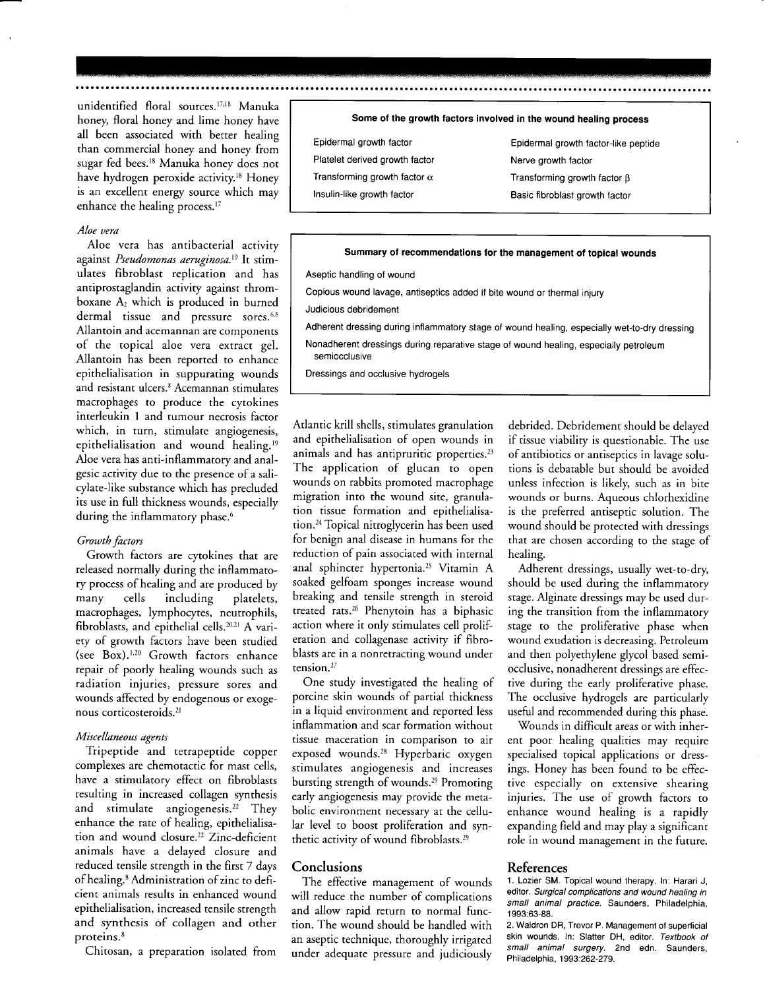unidentified floral sources.<sup>17,18</sup> Manuka honey, floral honey and lime honey have all been associated with better healing than commercial honey and honey from sugar fed bees.<sup>18</sup> Manuka honey does not have hydrogen peroxide activity.<sup>18</sup> Honey is an excellent energy source which may enhance the healing process.<sup>17</sup>

#### Aloe uera

Aloe vera has antibacterial activity against Pseudomonas aeruginosa.<sup>19</sup> It stimulates fibroblast replication and has antiprostaglandin activiry against thromboxane  $A_2$  which is produced in burned dermal tissue and pressure sores.<sup>6,8</sup> Allantoin and acemannan are components of the topical aloe vera extract gel. Allantoin has been reported to enhance epithelialisation in suppurating wounds and resistant ulcers.<sup>8</sup> Acemannan stimulates macrophages to produce the cytokines interleukin I and tumour necrosis factor which, in turn, stimulate angiogenesis, epithelialisation and wound healing.<sup>19</sup> Aloe vera has anti-inflammarory and analgesic activity due to the presence of a salicylate-like substance which has precluded its use in full thickness wounds, especially during the inflammatory phase.<sup>6</sup>

#### Growth factors

Growth factors are cytokines that are released normally during the inflammatory process of healing and are produced by many cells including platelers, macrophages, lymphocytes, neutrophils, fibroblasts, and epithelial cells.<sup>20,21</sup> A variery of growth factors have been studied (see Box).<sup>1,20</sup> Growth factors enhance repair of poorly healing wounds such as radiation injuries, pressure sores and wounds affected by endogenous or exogenous corticosteroids.2l

#### Miscellaneous agents

Tripeptide and tetrapeptide copper complexes are chemotactic for mast cells, have a stimulatory effect on fibroblasts resulting in increased collagen synthesis and stimulate angiogenesis.<sup>22</sup> They enhance the rate of healipg, epirhelialisation and wound closure.<sup>22</sup> Zinc-deficient animals have a delayed closure and reduced tensile strength in the first 7 days of healing.<sup>8</sup> Administration of zinc to deficient animals results in enhanced wound epithelialisation, increased tensile strength and synthesis of collagen and other proteins.<sup>8</sup>

Chitosan, a preparation isolated from

#### Some of the growth factors involved in the wound healing process

| Epidermal growth factor             |  |  |
|-------------------------------------|--|--|
| Platelet derived growth factor      |  |  |
| Transforming growth factor $\alpha$ |  |  |
| Insulin-like growth factor          |  |  |

Epidermal growth factor-like peptide Nerve growth factor Transforming growth factor  $\beta$ Basic fibroblast growth factor

#### Summary of recommendations for the management of topical wounds

Aseptic handling of wound

Copious wound lavage, antiseptics added if bite wound or thermal injury

Judicious debridement

Adherent dressing during inflammatory stage of wound healing, especially wet-to-dry dressing

Nonadherent dressings during reparative stage of wound healing, especially petroleum semiocclusive

Dressings and occlusive hydrogels

Atlantic krill shells, stimulates granulation and epithelialisation of open wounds in animals and has antipruritic properties.<sup>23</sup> The application of glucan to open wounds on rabbits promoted macrophage migration into the wound site, granulation tissue formation and eoithelialisation.<sup>24</sup> Topical nitroglycerin has been used for benign anal disease in humans for the reduction of pain associated with internal anal sphincter hypertonia.25 Vitamin A soaked gelfoam sponges increase wound breaking and tensile srrength in sreroid treated rats.<sup>26</sup> Phenytoin has a biphasic action where it only stimulates cell proliF eration and collagenase acriviry if fibroblasts are in a nonretracting wound under tension.<sup>27</sup>

One study investigated the healing of porcine skin wounds of partial thickness in a liquid environment and reported less inflammation and scar formation without tissue maceration in comparison to air exposed wounds.28 Hyperbaric oxygen stimulates angiogenesis and increases bursting strength of wounds.<sup>29</sup> Promoting early angiogenesis may provide the metabolic environment necessary at the cellular level to boost proliferation and synthetic activity of wound fibroblasts.<sup>29</sup>

#### **Conclusions**

The effective managemenr of wounds will reduce the number of complications and allow rapid return to normal function. The wound should be handled with an aseptic technique, thoroughly irrigated under adequate pressure and judiciously

debrided. Debridement should be delayed if tissue viabiliry is questionable. The use of antibiotics or antiseptics in lavage solutions is debatable but should be avoided unless infection is likely, such as in bite wounds or burns. Aqueous chlorhexidine is the preferred antiseptic solution. The wound should be protected with dressings that are chosen according ro the stage of healing.

Adherent dressings, usually wet-ro-dry, should be used during the inflammatory stage. Alginate dressings may be used during the transition from the inflammarory stage to the proliferative phase when wound exudation is decreasing. Petroleum and then polyethylene glycol based semiocclusive, nonadherent dressings are effective during the early proliferative phase. The occlusive hydrogels are parricularly useful and recommended during this phase.

Wounds in difficult areas or with inherent poor healing qualities may require specialised topical applications or dressings. Honey has been found to be effective especially on extensive shearing injuries. The use of growth factors to enhance wound healing is a rapidly expanding field and may play a significant role in wound managemenr in the future.

#### References

1. Lozier SM. Topical wound therapy. In: Harari J, editor. Surgical complications and wound healing in small animal practice. Saunders, Philadelphia, 1 993:63-88.

2. Waldron DR, Trevor P. Management of superficial skin wounds. In: Slatter DH, editor. Textbook of small animal surgery. 2nd edn. Saunders, Philadelphia, 1993:262-279.